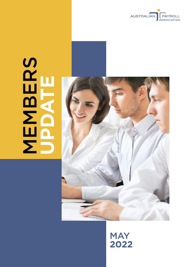

# **MBERS UPDATE**



# **MAY 2022**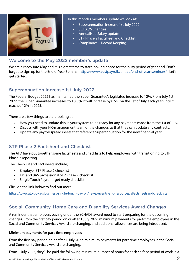

In this month's members update we look at:

- Superannuation Increase 1st July 2022
- SCHADS changes
- Annualised Salary update
- STP Phase 2 Factsheet and Checklist
- Compliance Record Keeping

#### Welcome to the May 2022 member's update

We are already into May and it is a great time to start looking ahead for the busy period of year end. Don't forget to sign up for the End of Year Seminar <https://www.austpayroll.com.au/end-of-year-seminars/>. Let's get started.

#### Superannuation Increase 1st July 2022

The Federal Budget 2022 has maintained the Super Guarantee's legislated increase to 12%. From July 1st 2022, the Super Guarantee increases to **10.5%**. It will increase by 0.5% on the 1st of July each year until it reaches 12% in 2025.

There are a few things to start looking at;

- How you need to update this in your system to be ready for any payments made from the 1st of July.
- Discuss with your HR/management team of the changes so that they can update any contracts.
- Update any payroll spreadsheets that reference Superannuation for the new financial year.

# STP Phase 2 Factsheet and Checklist

The ATO have put together some factsheets and checklists to help employers with transitioning to STP Phase 2 reporting.

The Checklist and Factsheets include;

- Employer STP Phase 2 checklist
- Tax and BAS professional STP Phase 2 checklist
- Single Touch Payroll get ready checklist

Click on the link below to find out more.

<https://www.ato.gov.au/business/single-touch-payroll/news,-events-and-resources/#Factsheetsandchecklists>

# Social, Community, Home Care and Disability Services Award Changes

A reminder that employers paying under the SCHADS award need to start preparing for the upcoming changes. From the first pay period on or after 1 July 2022, minimum payments for part-time employees in the Social and Community Services Award are changing, and additional allowances are being introduced.

#### **Minimum payments for part-time employees**

From the first pay period on or after 1 July 2022, minimum payments for part-time employees in the Social and Community Services Award are changing.

From 1 July 2022, they'll be paid the following minimum number of hours for each shift or period of work in a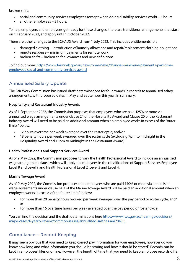broken shift:

- social and community services employees (except when doing disability services work) 3 hours
- all other employees 2 hours.

To help employers and employees get ready for these changes, there are transitional arrangements that start on 1 February 2022, and apply until 1 October 2022.

There are other changes to the SCHADS Award from 1 July 2022. This includes entitlements for:

- damaged clothing introduction of laundry allowance and repair/replacement clothing obligations
- remote response minimum payments for remote work
- broken shifts broken shift allowances and new definitions.

To find out more: [https://www.fairwork.gov.au/newsroom/news/changes-minimum-payments-part-time](https://www.fairwork.gov.au/newsroom/news/changes-minimum-payments-part-time-employees-social-and-community-services-award)[employees-social-and-community-services-award](https://www.fairwork.gov.au/newsroom/news/changes-minimum-payments-part-time-employees-social-and-community-services-award)

# Annualised Salary Update

The Fair Work Commission has issued draft determinations for four awards in regards to annualised salary arrangements, with proposed dates in May and September this year. In summary:

#### **Hospitality and Restaurant Industry Awards**

As of 1 September 2022, the Commission proposes that employees who are paid 125% or more via annualised wage arrangements under clause 24 of the Hospitality Award and Clause 20 of the Restaurant Industry Award will need to be paid an additional amount when an employee works in excess of the "outer limits" below:

- 12 hours overtime per week averaged over the roster cycle; and/or
- 18 penalty hours per week averaged over the roster cycle (excluding 7pm to midnight in the Hospitality Award and 10pm to midnight in the Restaurant Award).

#### **Health Professionals and Support Services Award**

As of 9 May 2022, the Commission proposes to vary the Health Professional Award to include an annualised wage arrangement clause which will apply to employees in the classifications of Support Services Employee Level 8 and Level 9 and Health Professional Level 2, Level 3 and Level 4.

#### **Marine Towage Award**

As of 9 May 2022, the Commission proposes that employees who are paid 140% or more via annualised wage agreements under clause 14.2 of the Marine Towage Award will be paid an additional amount when an employee works in excess of the "outer limits" below:

- For more than 20 penalty hours worked per week averaged over the pay period or roster cycle; and/ or
- For more than 15 overtime hours per week averaged over the pay period or roster cycle.

You can find the decision and the draft determinations here [https://www.fwc.gov.au/hearings-decisions/](https://www.fwc.gov.au/hearings-decisions/major-cases/4-yearly-review/common-issues/annualised-salaries-am201613) [major-cases/4-yearly-review/common-issues/annualised-salaries-am201613](https://www.fwc.gov.au/hearings-decisions/major-cases/4-yearly-review/common-issues/annualised-salaries-am201613)

# Compliance – Record Keeping

It may seem obvious that you need to keep correct pay information for your employees, however do you know how long and what information you should be storing and how it should be stored? Records can be kept in employees' files or online. However, the length of time that you need to keep employee records differ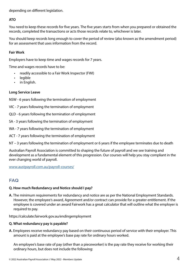depending on different legislation.

#### **ATO**

You need to keep these records for five years. The five years starts from when you prepared or obtained the records, completed the transactions or acts those records relate to, whichever is later.

You should keep records long enough to cover the period of review (also known as the amendment period) for an assessment that uses information from the record.

#### **Fair Work**

Employers have to keep time and wages records for 7 years.

Time and wages records have to be:

- readily accessible to a Fair Work Inspector (FWI)
- legible
- in English.

#### **Long Service Leave**

NSW - 6 years following the termination of employment

- VIC 7 years following the termination of employment
- QLD 6 years following the termination of employment
- SA 3 years following the termination of employment
- WA 7 years following the termination of employment
- ACT 7 years following the termination of employment

NT – 3 years following the termination of employment or 6 years if the employee terminates due to death

Australian Payroll Association is committed to shaping the future of payroll and we see training and development as a fundamental element of this progression. Our courses will help you stay compliant in the ever changing world of payroll.

<www.austpayroll.com.au/payroll-courses/>

# FAQ

#### **Q. How much Redundancy and Notice should I pay?**

**A.** The minimum requirements for redundancy and notice are as per the National Employment Standards. However, the employee's award, Agreement and/or contract can provide for a greater entitlement. If the employee is covered under an award Fairwork has a great calculator that will outline what the employer is required to pay.

https://calculate.fairwork.gov.au/endingemployment

#### **Q. What redundancy pay is payable?**

**A.** Employees receive redundancy pay based on their continuous period of service with their employer. This amount is paid at the employee's base pay rate for ordinary hours worked.

An employee's base rate of pay (other than a pieceworker) is the pay rate they receive for working their ordinary hours, but does not include the following: